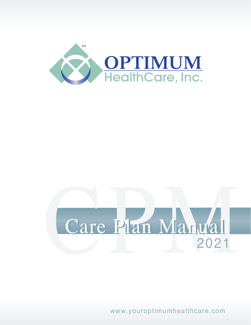

# Care Plan Manual 2021

www.youroptimumhealthcare.com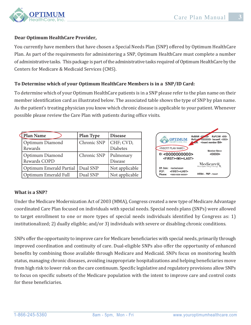

#### **Dear Optimum HealthCare Provider,**

You currently have members that have chosen a Special Needs Plan (SNP) offered by Optimum HealthCare Plan. As part of the requirements for administering a SNP, Optimum HealthCare must complete a number of administrative tasks. This package is part of the administrative tasks required of Optimum HealthCare by the Centers for Medicare & Medicaid Services (CMS).

#### **To Determine which of your Optimum HealthCare Members is in a SNP/ID Card:**

To determine which of your Optimum HealthCare patients is in a SNP please refer to the plan name on their member identification card as illustrated below. The associated table shows the type of SNP by plan name. As the patient's treating physician you know which chronic disease is applicable to your patient. Whenever possible please review the Care Plan with patients during office visits.

| Plan Name                       | <b>Plan Type</b> | <b>Disease</b>               |
|---------------------------------|------------------|------------------------------|
| Optimum Diamond<br>Rewards      | Chronic SNP      | CHF; CVD,<br><b>Diabetes</b> |
| Optimum Diamond<br>Rewards COPD | Chronic SNP      | Pulmonary<br>Disease         |
| Optimum Emerald Partial         | Dual SNP         | Not applicable               |
| Optimum Emerald Full            | Dual SNP         | Not applicable               |



#### **What is a SNP?**

Under the Medicare Modernization Act of 2003 (MMA), Congress created a new type of Medicare Advantage coordinated Care Plan focused on individuals with special needs. Special needs plans (SNPs) were allowed to target enrollment to one or more types of special needs individuals identified by Congress as: 1) institutionalized; 2) dually eligible; and/or 3) individuals with severe or disabling chronic conditions.

SNPs offer the opportunity to improve care for Medicare beneficiaries with special needs, primarily through improved coordination and continuity of care. Dual-eligible SNPs also offer the opportunity of enhanced benefits by combining those available through Medicare and Medicaid. SNPs focus on monitoring health status, managing chronic diseases, avoiding inappropriate hospitalizations and helping beneficiaries move from high risk to lower risk on the care continuum. Specific legislative and regulatory provisions allow SNPs to focus on specific subsets of the Medicare population with the intent to improve care and control costs for these beneficiaries.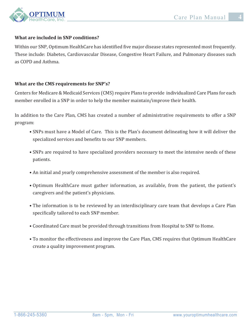

#### **What are included in SNP conditions?**

Within our SNP, Optimum HealthCare has identified five major disease states represented most frequently. These include: Diabetes, Cardiovascular Disease, Congestive Heart Failure, and Pulmonary diseases such as COPD and Asthma.

#### **What are the CMS requirements for SNP's?**

Centers for Medicare & Medicaid Services (CMS) require Plans to provide individualized Care Plans for each member enrolled in a SNP in order to help the member maintain/improve their health.

In addition to the Care Plan, CMS has created a number of administrative requirements to offer a SNP program:

- SNPs must have a Model of Care. This is the Plan's document delineating how it will deliver the specialized services and benefits to our SNP members.
- SNPs are required to have specialized providers necessary to meet the intensive needs of these patients.
- An initial and yearly comprehensive assessment of the member is also required.
- Optimum HealthCare must gather information, as available, from the patient, the patient's caregivers and the patient's physicians.
- The information is to be reviewed by an interdisciplinary care team that develops a Care Plan specifically tailored to each SNP member.
- Coordinated Care must be provided through transitions from Hospital to SNF to Home.
- To monitor the effectiveness and improve the Care Plan, CMS requires that Optimum HealthCare create a quality improvement program.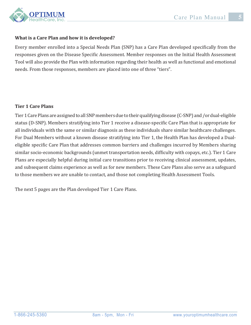

#### **What is a Care Plan and how it is developed?**

Every member enrolled into a Special Needs Plan (SNP) has a Care Plan developed specifically from the responses given on the Disease Specific Assessment. Member responses on the Initial Health Assessment Tool will also provide the Plan with information regarding their health as well as functional and emotional needs. From those responses, members are placed into one of three "tiers".

#### **Tier 1 Care Plans**

Tier 1 Care Plans are assigned to all SNP members due to their qualifying disease (C-SNP) and /or dual-eligible status (D-SNP). Members stratifying into Tier 1 receive a disease-specific Care Plan that is appropriate for all individuals with the same or similar diagnosis as these individuals share similar healthcare challenges. For Dual Members without a known disease stratifying into Tier 1, the Health Plan has developed a Dualeligible specific Care Plan that addresses common barriers and challenges incurred by Members sharing similar socio-economic backgrounds (unmet transportation needs, difficulty with copays, etc.). Tier 1 Care Plans are especially helpful during initial care transitions prior to receiving clinical assessment, updates, and subsequent claims experience as well as for new members. These Care Plans also serve as a safeguard to those members we are unable to contact, and those not completing Health Assessment Tools.

The next 5 pages are the Plan developed Tier 1 Care Plans.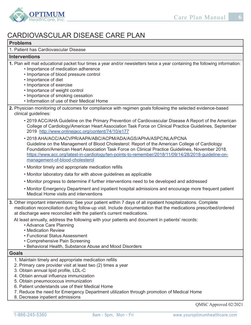



# CARDIOVASCULAR DISEASE CARE PLAN

#### **Problems**

1. Patient has Cardiovascular Disease

#### **Interventions**

- **1.** Plan will mail educational packet four times a year and/or newsletters twice a year containing the following information:
	- Importance of medication adherence
	- Importance of blood pressure control
	- Importance of diet
	- Importance of exercise
	- Importance of weight control
	- Importance of smoking cessation
	- Information of use of their Medical Home
- **2.** Physician monitoring of outcomes for compliance with regimen goals following the selected evidence-based clinical guidelines:
	- 2019 ACC/AHA Guideline on the Primary Prevention of Cardiovascular Disease A Report of the American College of Cardiology/American Heart Association Task Force on Clinical Practice Guidelines, September 2019 http://www.onlinejacc.org/content/74/10/e177
	- 2018 AHA/ACC/AACVPR/AAPA/ABC/ACPM/ADA/AGS/APhA/ASPC/NLA/PCNA Guideline on the Management of Blood Cholesterol: Report of the American College of Cardiology Foundation/American Heart Association Task Force on Clinical Practice Guidelines, November 2018. https://www.acc.org/latest-in-cardiology/ten-points-to-remember/2018/11/09/14/28/2018-guideline-onmanagement-of-blood-cholesterol
	- Monitor timely and appropriate medication refills
	- Monitor laboratory data for with above guidelines as applicable
	- Monitor progress to determine if further interventions need to be developed and addressed
	- Monitor Emergency Department and inpatient hospital admissions and encourage more frequent patient Medical Home visits and interventions
- **3.** Other important interventions: See your patient within 7 days of all inpatient hospitalizations. Complete medication reconciliation during follow-up visit. Include documentation that the medications prescribed/ordered at discharge were reconciled with the patient's current medications.

At least annually, address the following with your patients and document in patients' records:

- Advance Care Planning
- Medication Review
- Functional Status Assessment
- Comprehensive Pain Screening
- Behavioral Health, Substance Abuse and Mood Disorders

#### **Goals**

- 1. Maintain timely and appropriate medication refills
- 2. Primary care provider visit at least two (2) times a year
- 3. Obtain annual lipid profile, LDL-C
- 4. Obtain annual influenza immunization
- 5. Obtain pneumococcus immunization
- 6. Patient understands use of their Medical Home
- 7. Reduce the need for Emergency Department utilization through promotion of Medical Home
- 8. Decrease inpatient admissions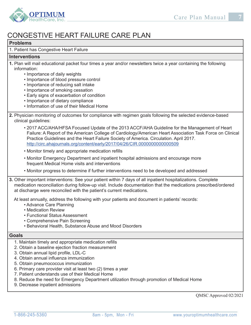

# CONGESTIVE HEART FAILURE CARE PLAN

#### **Problems**

1. Patient has Congestive Heart Failure

#### **Interventions**

- **1.** Plan will mail educational packet four times a year and/or newsletters twice a year containing the following information:
	- Importance of daily weights
	- Importance of blood pressure control
	- Importance of reducing salt intake
	- Importance of smoking cessation
	- Early signs of exacerbation of condition
	- Importance of dietary compliance
	- Information of use of their Medical Home
- **2.** Physician monitoring of outcomes for compliance with regimen goals following the selected evidence-based clinical guidelines:
	- 2017 ACC/AHA/HFSA Focused Update of the 2013 ACCF/AHA Guideline for the Management of Heart Failure: A Report of the American College of Cardiology/American Heart Association Task Force on Clinical Practice Guidelines and the Heart Failure Society of America. Circulation. April 2017. http://circ.ahajournals.org/content/early/2017/04/26/CIR.0000000000000509
	- Monitor timely and appropriate medication refills
	- Monitor Emergency Department and inpatient hospital admissions and encourage more frequent Medical Home visits and interventions
	- Monitor progress to determine if further interventions need to be developed and addressed
- **3.** Other important interventions: See your patient within 7 days of all inpatient hospitalizations. Complete medication reconciliation during follow-up visit. Include documentation that the medications prescribed/ordered at discharge were reconciled with the patient's current medications.

At least annually, address the following with your patients and document in patients' records:

- Advance Care Planning
- Medication Review
- Functional Status Assessment
- Comprehensive Pain Screening
- Behavioral Health, Substance Abuse and Mood Disorders

#### **Goals**

- 1. Maintain timely and appropriate medication refills
- 2. Obtain a baseline ejection fraction measurement
- 3. Obtain annual lipid profile, LDL-C
- 4. Obtain annual influenza immunization
- 5. Obtain pneumococcus immunization
- 6. Primary care provider visit at least two (2) times a year
- 7. Patient understands use of their Medical Home
- 8. Reduce the need for Emergency Department utilization through promotion of Medical Home
- 9. Decrease inpatient admissions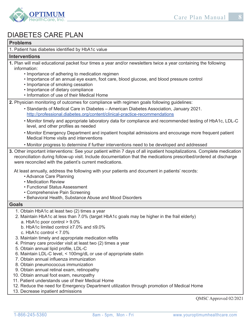



# DIABETES CARE PLAN

#### **Problems**

1. Patient has diabetes identified by HbA1c value

#### **Interventions**

- **1.** Plan will mail educational packet four times a year and/or newsletters twice a year containing the following information:
	- Importance of adhering to medication regimen
	- Importance of an annual eye exam, foot care, blood glucose, and blood pressure control
	- Importance of smoking cessation
	- Importance of dietary compliance
	- Information of use of their Medical Home
- **2.** Physician monitoring of outcomes for compliance with regimen goals following guidelines:
	- Standards of Medical Care in Diabetes American Diabetes Association, January 2021. http://professional.diabetes.org/content/clinical-practice-recommendations
	- Monitor timely and appropriate laboratory data for compliance and recommended testing of HbA1c, LDL-C level, and other profiles as needed
	- Monitor Emergency Department and inpatient hospital admissions and encourage more frequent patient Medical Home visits and interventions
	- Monitor progress to determine if further interventions need to be developed and addressed
- **3.** Other important interventions: See your patient within 7 days of all inpatient hospitalizations. Complete medication reconciliation during follow-up visit. Include documentation that the medications prescribed/ordered at discharge were reconciled with the patient's current medications.

At least annually, address the following with your patients and document in patients' records:

- Advance Care Planning
- Medication Review
- Functional Status Assessment
- Comprehensive Pain Screening
- Behavioral Health, Substance Abuse and Mood Disorders

#### **Goals**

- 1. Obtain HbA1c at least two (2) times a year
- 2. Maintain HbA1c at less than 7.0% (target HbA1c goals may be higher in the frail elderly)
	- a. HbA1c poor control > 9.0%
	- b. HbA1c limited control ≥7.0% and ≤9.0%
	- c. HbA1c control < 7.0%
- 3. Maintain timely and appropriate medication refills
- 4. Primary care provider visit at least two (2) times a year
- 5. Obtain annual lipid profile, LDL-C
- 6. Maintain LDL-C level, < 100mg/dL or use of appropriate statin
- 7. Obtain annual influenza immunization
- 8. Obtain pneumococcus immunization
- 9. Obtain annual retinal exam, retinopathy
- 10. Obtain annual foot exam, neuropathy
- 11. Patient understands use of their Medical Home
- 12. Reduce the need for Emergency Department utilization through promotion of Medical Home
- 13. Decrease inpatient admissions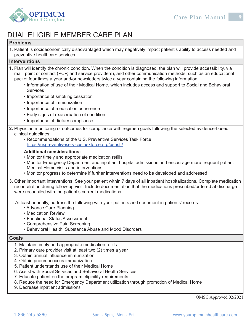

# DUAL ELIGIBLE MEMBER CARE PLAN

#### **Problems**

1. Patient is socioeconomically disadvantaged which may negatively impact patient's ability to access needed and preventive healthcare services.

#### **Interventions**

- **1.** Plan will identify the chronic condition. When the condition is diagnosed, the plan will provide accessibility, via mail, point of contact (PCP, and service providers), and other communication methods, such as an educational packet four times a year and/or newsletters twice a year containing the following information:
	- Information of use of their Medical Home, which includes access and support to Social and Behavioral **Services**
	- Importance of smoking cessation
	- Importance of immunization
	- Importance of medication adherence
	- Early signs of exacerbation of condition
	- Importance of dietary compliance
- **2.** Physician monitoring of outcomes for compliance with regimen goals following the selected evidence-based clinical guidelines:
	- Recommendations of the U.S. Preventive Services Task Force https://uspreventiveservicestaskforce.org/uspstf/

#### **Additional considerations:**

- Monitor timely and appropriate medication refills
- Monitor Emergency Department and inpatient hospital admissions and encourage more frequent patient Medical Home visits and interventions
- Monitor progress to determine if further interventions need to be developed and addressed
- **3.** Other important interventions: See your patient within 7 days of all inpatient hospitalizations. Complete medication reconciliation during follow-up visit. Include documentation that the medications prescribed/ordered at discharge were reconciled with the patient's current medications.

At least annually, address the following with your patients and document in patients' records:

- Advance Care Planning
- Medication Review
- Functional Status Assessment
- Comprehensive Pain Screening
- Behavioral Health, Substance Abuse and Mood Disorders

#### **Goals**

- 1. Maintain timely and appropriate medication refills
- 2. Primary care provider visit at least two (2) times a year
- 3. Obtain annual influence immunization
- 4. Obtain pneumococcus immunization
- 5. Patient understands use of their Medical Home
- 6. Assist with Social Services and Behavioral Health Services
- 7. Educate patient on the program eligibility requirements
- 8. Reduce the need for Emergency Department utilization through promotion of Medical Home
- 9. Decrease inpatient admissions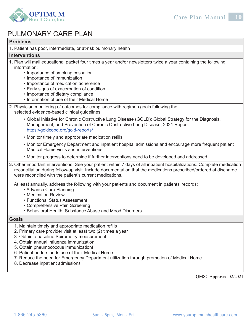

# PULMONARY CARE PLAN

#### **Problems**

1. Patient has poor, intermediate, or at-risk pulmonary health

#### **Interventions**

- **1.** Plan will mail educational packet four times a year and/or newsletters twice a year containing the following information:
	- Importance of smoking cessation
	- Importance of immunization
	- Importance of medication adherence
	- Early signs of exacerbation of condition
	- Importance of dietary compliance
	- Information of use of their Medical Home
- **2.** Physician monitoring of outcomes for compliance with regimen goals following the selected evidence-based clinical guidelines:
	- Global Initiative for Chronic Obstructive Lung Disease (GOLD); Global Strategy for the Diagnosis, Management, and Prevention of Chronic Obstructive Lung Disease, 2021 Report. https://goldcopd.org/gold-reports/
	- Monitor timely and appropriate medication refills
	- Monitor Emergency Department and inpatient hospital admissions and encourage more frequent patient Medical Home visits and interventions
	- Monitor progress to determine if further interventions need to be developed and addressed
- **3.** Other important interventions: See your patient within 7 days of all inpatient hospitalizations. Complete medication reconciliation during follow-up visit. Include documentation that the medications prescribed/ordered at discharge were reconciled with the patient's current medications.

At least annually, address the following with your patients and document in patients' records:

- Advance Care Planning
- Medication Review
- Functional Status Assessment
- Comprehensive Pain Screening
- Behavioral Health, Substance Abuse and Mood Disorders

#### **Goals**

- 1. Maintain timely and appropriate medication refills
- 2. Primary care provider visit at least two (2) times a year
- 3. Obtain a baseline Spirometry measurement
- 4. Obtain annual influenza immunization
- 5. Obtain pneumococcus immunizationt
- 6. Patient understands use of their Medical Home
- 7. Reduce the need for Emergency Department utilization through promotion of Medical Home
- 8. Decrease inpatient admissions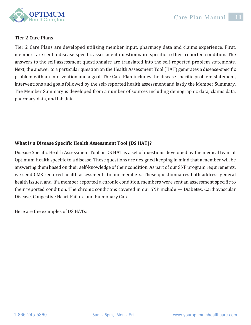

#### **Tier 2 Care Plans**

Tier 2 Care Plans are developed utilizing member input, pharmacy data and claims experience. First, members are sent a disease specific assessment questionnaire specific to their reported condition. The answers to the self-assessment questionnaire are translated into the self-reported problem statements. Next, the answer to a particular question on the Health Assessment Tool (HAT) generates a disease-specific problem with an intervention and a goal. The Care Plan includes the disease specific problem statement, interventions and goals followed by the self-reported health assessment and lastly the Member Summary. The Member Summary is developed from a number of sources including demographic data, claims data, pharmacy data, and lab data.

## **What is a Disease Specific Health Assessment Tool (DS HAT)?**

Disease Specific Health Assessment Tool or DS HAT is a set of questions developed by the medical team at Optimum Health specific to a disease. These questions are designed keeping in mind that a member will be answering them based on their self-knowledge of their condition. As part of our SNP program requirements, we send CMS required health assessments to our members. These questionnaires both address general health issues, and, if a member reported a chronic condition, members were sent an assessment specific to their reported condition. The chronic conditions covered in our SNP include — Diabetes, Cardiovascular Disease, Congestive Heart Failure and Pulmonary Care.

Here are the examples of DS HATs: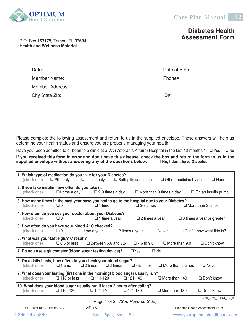

## **Diabetes Health Assessment Form**

P.O. Box 153178, Tampa, FL 33684 **Health and Wellness Material**

| Date:           | Date of I |
|-----------------|-----------|
| Member Name:    | Phone#:   |
| Member Address: |           |
| City State Zip: | ID#       |

Date of Birth:

Please complete the following assessment and return to us in the supplied envelope. These answers will help us determine your health status and ensure you are properly managing your health.

Have you been admitted to or been to a clinic at a VA (Veteran's Affairs) Hospital in the last 12 months?  $\Box$  Yes  $\Box$  No

**If you received this form in error and don't have this disease, check the box and return the form to us in the supplied envelope without answering any of the questions below. No, I don't have Diabetes.**

| (check one)                                                      | $\Box$ Pills only   | 1. Which type of medication do you take for your Diabetes?<br>$\Box$ Insulin only                            |                           | $\Box$ Both pills and insulin  | $\Box$ Other medicine by shot  | $\square$ None                   |
|------------------------------------------------------------------|---------------------|--------------------------------------------------------------------------------------------------------------|---------------------------|--------------------------------|--------------------------------|----------------------------------|
| 2. If you take insulin, how often do you take it:<br>(check one) | $\Box$ 1 time a day |                                                                                                              | $\square$ 2-3 times a day |                                | $\Box$ More than 3 times a day | $\Box$ On an insulin pump        |
| (check one)                                                      | $\Box$ 0            | 3. How many times in the past year have you had to go to the hospital due to your Diabetes?<br>$\Box$ 1 time |                           | $\square$ 2-3 times            |                                | $\Box$ More than 3 times         |
| (check one)                                                      | $\Box 0$            | 4. How often do you see your doctor about your Diabetes?<br>$\Box$ 1 time a year                             |                           | $\Box$ 2 times a year          |                                | $\Box$ 3 times a year or greater |
| (check one)                                                      | $\Box$ 0            | 5. How often do you have your blood A1C checked?<br>$\Box$ 1 time a year                                     | $\Box$ 2 times a year     |                                | $\Box$ Never                   | $\Box$ Don't know what this is?  |
| 6. What was your last HgbA1C result?<br>(check one)              | $\Box$ 6.5 or less  | $\Box$ Between 6.6 and 7.5                                                                                   |                           | $\Box$ 7.6 to 9.0              | $\Box$ More than 9.0           | $\Box$ Don't know                |
|                                                                  |                     | 7. Do you use a glucometer (blood sugar testing device)?                                                     |                           | $\Box$ Yes                     | $\square$ No                   |                                  |
| (check one)                                                      | $\Box$ 1 time       | 8. On a daily basis, how often do you check your blood sugar?<br>$\Box$ 2 times                              | $\square$ 3 times         | $\Box$ 4-5 times               | $\Box$ More than 5 times       | $\Box$ Never                     |
| (check one)                                                      | $\Box$ 110 or less  | 9. What does your fasting (first one in the morning) blood sugar usually run?<br>$\Box$ 111-120              |                           | $\Box$ 121-140                 | $\Box$ More than 140           | $\Box$ Don't know                |
| (check one)                                                      | $\Box$ 110 -120     | 10. What does your blood sugar usually run if taken 2 hours after eating?<br>$\Box$ 121-140                  |                           | $\Box$ 141-180                 | $\Box$ More than 180           | $\Box$ Don't know                |
|                                                                  |                     |                                                                                                              |                           | Page 1 of 2 (See Reverse Side) |                                | H5594 2021 DSHAT DM C            |
| OPT Form 1037 / Rev. 08.2020                                     |                     | $<$ ID # $>$                                                                                                 |                           |                                |                                | Diabetes Health Assessment Form  |
| 1-866-245-5360                                                   |                     |                                                                                                              | 8am - 5pm, Mon - Fri      |                                |                                | www.youroptimumhealthcare.com    |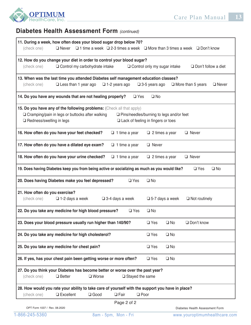

# **Diabetes Health Assessment Form** *(continued)*

| 11. During a week, how often does your blood sugar drop below 70?<br>$\Box$ Never<br>(check one)                                                                  | $\Box$ 1 time a week $\Box$ 2-3 times a week $\Box$ More than 3 times a week $\Box$ Don't know |
|-------------------------------------------------------------------------------------------------------------------------------------------------------------------|------------------------------------------------------------------------------------------------|
| 12. How do you change your diet in order to control your blood sugar?<br>$\Box$ Control my carbohydrate intake<br>(check one)                                     | $\Box$ Control only my sugar intake<br>$\Box$ Don't follow a diet                              |
| 13. When was the last time you attended Diabetes self management education classes?<br>$\Box$ Less than 1 year ago<br>(check one)<br>$\Box$ 1-2 years ago         | $\square$ 3-5 years ago<br>$\Box$ More than 5 years<br>$\Box$ Never                            |
| 14. Do you have any wounds that are not healing properly?                                                                                                         | $\square$ Yes<br>$\square$ No                                                                  |
| 15. Do you have any of the following problems: (Check all that apply)                                                                                             |                                                                                                |
| □ Cramping/pain in legs or buttocks after walking<br>□ Redness/swelling in legs                                                                                   | $\Box$ Pins/needles/burning to legs and/or feet<br>$\Box$ Lack of feeling in fingers or toes   |
| 16. How often do you have your feet checked?<br>$\Box$ 1 time a year                                                                                              | $\Box$ Never<br>$\Box$ 2 times a year                                                          |
| 17. How often do you have a dilated eye exam?<br>$\Box$ 1 time a year                                                                                             | $\Box$ Never                                                                                   |
| 18. How often do you have your urine checked?<br>$\Box$ 1 time a year                                                                                             | $\Box$ 2 times a year<br>$\Box$ Never                                                          |
| 19. Does having Diabetes keep you from being active or socializing as much as you would like?                                                                     | $\square$ No<br>$\Box$ Yes                                                                     |
| 20. Does having Diabetes make you feel depressed?                                                                                                                 | $\Box$ Yes<br>$\square$ No                                                                     |
| 21. How often do you exercise?<br>(check one)<br>$\Box$ 1-2 days a week<br>$\square$ 3-4 days a week                                                              | $\square$ 5-7 days a week<br>$\Box$ Not routinely                                              |
| 22. Do you take any medicine for high blood pressure?                                                                                                             | $\square$ No<br>$\square$ Yes                                                                  |
| 23. Does your blood pressure usually run higher than 140/90?                                                                                                      | $\square$ Yes<br>$\square$ No<br>$\Box$ Don't know                                             |
| 24. Do you take any medicine for high cholesterol?                                                                                                                | $\square$ Yes<br>$\square$ No                                                                  |
| 25. Do you take any medicine for chest pain?                                                                                                                      | $\square$ Yes<br>$\square$ No                                                                  |
| 26. If yes, has your chest pain been getting worse or more often?                                                                                                 | $\square$ Yes<br>$\square$ No                                                                  |
| 27. Do you think your Diabetes has become better or worse over the past year?<br>(check one)<br>$\Box$ Better<br>$\square$ Worse                                  | $\Box$ Stayed the same                                                                         |
| 28. How would you rate your ability to take care of yourself with the support you have in place?<br>$\Box$ Excellent<br>(check one)<br>$\Box$ Good<br>$\Box$ Fair | $\square$ Poor                                                                                 |
| Page 2 of 2<br>OPT Form 1037 / Rev. 08.2020                                                                                                                       | Diabetes Health Assessment Form                                                                |
| 1-866-245-5360<br>8am - 5pm, Mon - Fri                                                                                                                            | www.youroptimumhealthcare.com                                                                  |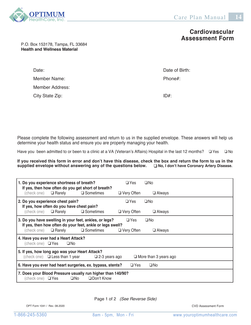

**Cardiovascular Assessment Form**

#### P.O. Box 153178, Tampa, FL 33684 **Health and Wellness Material**

Date: Date of Birth:  $\Box$ Member Name:  $\blacksquare$ Member Address: City State Zip:  $ID#$ :

Please complete the following assessment and return to us in the supplied envelope. These answers will help us determine your health status and ensure you are properly managing your health.

Have you been admitted to or been to a clinic at a VA (Veteran's Affairs) Hospital in the last 12 months?  $\Box$  Yes  $\Box$  No

**If you received this form in error and don't have this disease, check the box and return the form to us in the supplied envelope without answering any of the questions below.**  $\Box$  **No, I don't have Coronary Artery Disease. supplied envelope without answering any of the questions below.** 

|                                   | 1. Do you experience shortness of breath?                                     | If yes, then how often do you get short of breath?                             | $\Box$ Yes        | $\Box$ No                    |
|-----------------------------------|-------------------------------------------------------------------------------|--------------------------------------------------------------------------------|-------------------|------------------------------|
|                                   | (check one) $\Box$ Rarely $\Box$ Sometimes                                    |                                                                                | $\Box$ Very Often | $\Box$ Always                |
|                                   | 2. Do you experience chest pain?                                              |                                                                                | $\Box$ Yes        | $\Box$ No                    |
|                                   | If yes, how often do you have chest pain?<br>(check one) $\Box$ <b>Rarely</b> | □ Sometimes                                                                    | $\Box$ Very Often | $\Box$ Always                |
|                                   |                                                                               | 3. Do you have swelling in your feet, ankles, or legs?                         | $\Box$ Yes        | $\square$ No                 |
|                                   | (check one) $\Box$ <b>Rarely</b> $\Box$ <b>Sometimes</b>                      | If yes, then how often do your feet, ankle or legs swell?                      | $\Box$ Very Often | $\Box$ Always                |
| (check one) $\Box$ Yes            | 4. Have you ever had a Heart Attack?<br>$\Box$ No                             |                                                                                |                   |                              |
|                                   | 5. If yes, how long ago was your Heart Attack?                                | (check one) $\Box$ Less than 1 year $\Box$ 2-3 years ago                       |                   | $\Box$ More than 3 years ago |
|                                   |                                                                               | 6. Have you ever had heart surgeries, ex. bypass, stents?                      | $\Box$ Yes        | $\Box$ No                    |
| (check one) $\;\;\;\;\Box\; Y$ es |                                                                               | 7. Does your Blood Pressure usually run higher than 140/90?<br>□No □Don't Know |                   |                              |

Page 1 of 2 *(See Reverse Side)*

OPT Form 1041 / Rev. 08.2020

CVD Assessment Form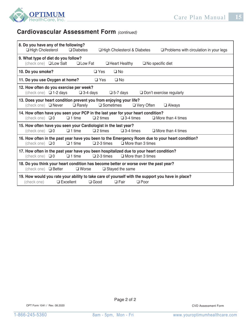

## **Cardiovascular Assessment Form** *(continued)*

| 8. Do you have any of the following?<br>□ High Cholesterol<br>$\Box$ Diabetes<br>□ High Cholesterol & Diabetes<br>$\Box$ Problems with circulation in your legs                               |
|-----------------------------------------------------------------------------------------------------------------------------------------------------------------------------------------------|
| 9. What type of diet do you follow?<br>(check one) <b>QLow Salt</b> QLow Fat QHeart Healthy<br>$\Box$ No specific diet                                                                        |
| $\square$ Yes<br>$\Box$ No<br>10. Do you smoke?                                                                                                                                               |
| 11. Do you use Oxygen at home?<br>$\Box$ Yes<br>$\Box$ No                                                                                                                                     |
| 12. How often do you exercise per week?<br>(check one) $\Box$ 1-2 days<br>$\square$ 3-4 days<br>$\square$ 5-7 days<br>$\Box$ Don't exercise regularly                                         |
| 13. Does your heart condition prevent you from enjoying your life?<br>(check one) $\Box$ Never<br>$\Box$ Rarely<br>$\square$ Sometimes<br>$\Box$ Very Often<br>$\Box$ Always                  |
| 14. How often have you seen your PCP in the last year for your heart condition?<br>$\Box$ 1 time<br>$\Box$ 2 times<br>$\square$ 3-4 times<br>$\Box$ More than 4 times<br>(check one) $\Box$ 0 |
| 15. How often have you seen your Cardiologist in the last year?<br>(check one) $\Box$ 0<br>$\Box$ 1 time<br>$\square$ 2 times<br>$\square$ 3-4 times<br>$\Box$ More than 4 times              |
| 16. How often in the past year have you been to the Emergency Room due to your heart condition?<br>$\Box$ More than 3 times<br>(check one) $\Box$ 0<br>$\square$ 2-3 times<br>$\Box$ 1 time   |
| 17. How often in the past year have you been hospitalized due to your heart condition?<br>$\Box$ More than 3 times<br>(check one) $\Box$ 0<br>$\Box$ 1 time<br>$\square$ 2-3 times            |
| 18. Do you think your heart condition has become better or worse over the past year?<br>(check one) $\Box$ Better<br>$\square$ Worse<br>$\Box$ Stayed the same                                |
| 19. How would you rate your ability to take care of yourself with the support you have in place?<br>$\Box$ Excellent<br>$\Box$ Good<br>$\Box$ Fair<br>$\Box$ Poor<br>(check one)              |

**OPT21C** 

OPT Form 1041 / Rev. 08.2020 CVD Assessment Form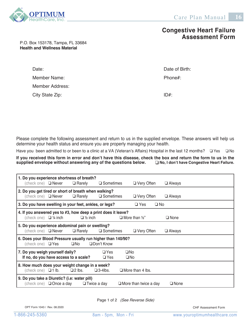

## **Congestive Heart Failure Assessment Form**

P.O. Box 153178, Tampa, FL 33684 **Health and Wellness Material**

| Date:           | Date of Birth: |
|-----------------|----------------|
| Member Name:    | Phone#:        |
| Member Address: |                |
| City State Zip: | ID#            |

Please complete the following assessment and return to us in the supplied envelope. These answers will help us determine your health status and ensure you are properly managing your health.

Have you been admitted to or been to a clinic at a VA (Veteran's Affairs) Hospital in the last 12 months?  $\Box$  Yes  $\Box$  No

If you received this form in error and don't have this disease, check the box and return the form to us in the supplied envelope without answering any of the questions below.  $\square$  No, I don't have Congestive Heart Failure. supplied envelope without answering any of the questions below.

| 1. Do you experience shortness of breath?                     |                                                             |                                                  |                     |                              |               |             |  |
|---------------------------------------------------------------|-------------------------------------------------------------|--------------------------------------------------|---------------------|------------------------------|---------------|-------------|--|
|                                                               | (check one) $\Box$ Never                                    | $\Box$ Rarely                                    | $\square$ Sometimes | $\Box$ Very Often            | $\Box$ Always |             |  |
|                                                               | 2. Do you get tired or short of breath when walking?        |                                                  |                     |                              |               |             |  |
|                                                               | (check one) $\Box$ Never                                    | $\Box$ Rarely                                    | $\square$ Sometimes | $\Box$ Very Often            | $\Box$ Always |             |  |
| 3. Do you have swelling in your feet, ankles, or legs?        |                                                             |                                                  |                     | $\square$ Yes                | $\Box$ No     |             |  |
| 4. If you answered yes to #3, how deep a print does it leave? |                                                             |                                                  |                     |                              |               |             |  |
| (check one) $\Box$ 1/4 inch                                   |                                                             | $\Box$ 1/2 inch                                  |                     | $\Box$ More than 1/2"        | $\Box$ None   |             |  |
| 5. Do you experience abdominal pain or swelling?              |                                                             |                                                  |                     |                              |               |             |  |
|                                                               | (check one) $\Box$ Never $\Box$ Rarely                      |                                                  | □ Sometimes         | $\Box$ Very Often            | $\Box$ Always |             |  |
|                                                               | 6. Does your Blood Pressure usually run higher than 140/90? |                                                  |                     |                              |               |             |  |
| (check one) $\Box$ Yes                                        |                                                             | $\Box$ No                                        | □ Don't Know        |                              |               |             |  |
| 7. Do you weigh yourself daily?                               |                                                             |                                                  | $\Box$ Yes          | $\Box$ No                    |               |             |  |
| If no, do you have access to a scale?                         |                                                             |                                                  | $\Box$ Yes          | $\Box$ No                    |               |             |  |
| 8. How much does your weight change in a week?                |                                                             |                                                  |                     |                              |               |             |  |
|                                                               |                                                             | (check one) $\Box$ 1 lb. $\Box$ 2 lbs.           | $\square$ 3-4lbs.   | $\Box$ More than 4 lbs.      |               |             |  |
| 9. Do you take a Diuretic? (i.e: water pill)                  |                                                             |                                                  |                     |                              |               |             |  |
|                                                               |                                                             | (check one) $\Box$ Once a day $\Box$ Twice a day |                     | $\Box$ More than twice a day |               | $\Box$ None |  |

Page 1 of 2 *(See Reverse Side)*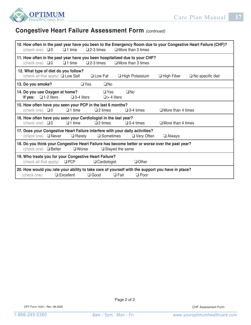



# **Congestive Heart Failure Assessment Form** *(continued)*

| (check one) $\Box$ 0<br>$\Box$ 1 time<br>$\square$ 2-3 times                                                                                                                  | 10. How often in the past year have you been to the Emergency Room due to your Congestive Heart Failure (CHF)?<br>$\Box$ More than 3 times |  |  |  |  |
|-------------------------------------------------------------------------------------------------------------------------------------------------------------------------------|--------------------------------------------------------------------------------------------------------------------------------------------|--|--|--|--|
| 11. How often in the past year have you been hospitalized due to your CHF?<br>$\square$ 2-3 times<br>(check one) $\Box$ 0<br>$\Box$ 1 time                                    | $\Box$ More than 3 times                                                                                                                   |  |  |  |  |
| 12. What type of diet do you follow?<br>(check all that apply) $\Box$ Low Salt<br>$\Box$ Low Fat                                                                              | $\Box$ High Potassium<br>$\Box$ High Fiber<br>$\Box$ No specific diet                                                                      |  |  |  |  |
| 13. Do you smoke?<br>$\Box$ Yes<br>$\Box$ No                                                                                                                                  |                                                                                                                                            |  |  |  |  |
| 14. Do you use Oxygen at home?<br>$\Box$ Yes<br>$\Box$ 1-2 liters<br>$\square$ 3-4 liters<br>$\Box$ > 4 liters<br>If yes:                                                     | $\square$ No                                                                                                                               |  |  |  |  |
| 15. How often have you seen your PCP in the last 6 months?<br>(check one) $\Box$ 0<br>$\Box$ 1 time<br>$\square$ 2 times                                                      | $\square$ 3-4 times<br>$\Box$ More than 4 times                                                                                            |  |  |  |  |
| 16. How often have you seen your Cardiologist in the last year?<br>(check one) $\Box$ 0<br>$\Box$ 1 time<br>$\Box$ 2 times<br>$\square$ 3-4 times<br>$\Box$ More than 4 times |                                                                                                                                            |  |  |  |  |
| 17. Does your Congestive Heart Failure interfere with your daily activities?<br>(check one) □ Never<br>$\Box$ Rarely<br>$\square$ Sometimes                                   | $\Box$ Very Often<br>$\Box$ Always                                                                                                         |  |  |  |  |
| 18. Do you think your Congestive Heart Failure has become better or worse over the past year?<br>(check one) $\Box$ Better<br>$\Box$ Stayed the same<br>$\square$ Worse       |                                                                                                                                            |  |  |  |  |
| 19. Who treats you for your Congestive Heart Failure?<br>$\Box$ PCP<br>(check all that apply)<br>$\Box$ Cardiologist<br>$\Box$ Other                                          |                                                                                                                                            |  |  |  |  |
| 20. How would you rate your ability to take care of yourself with the support you have in place?<br>$\Box$ Excellent<br>$\Box$ Good<br>(check one)<br>$\Box$ Fair             | $\Box$ Poor                                                                                                                                |  |  |  |  |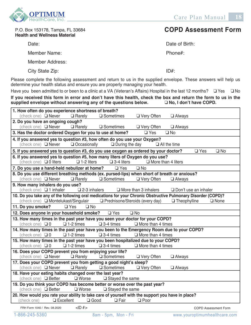

P.O. Box 153178, Tampa, FL 33684 **Health and Wellness Material**

Date:

Member Name: **Health and Wellness Material**

> Member Address: n<br>Date: <sub>1999</sub>

City State Zip:  $O<sup>th</sup>$ :  $O<sup>th</sup>$   $O<sup>th</sup>$   $O<sup>th</sup>$   $O<sup>th</sup>$   $O<sup>th</sup>$   $O<sup>th</sup>$   $O<sup>th</sup>$   $O<sup>th</sup>$   $O<sup>th</sup>$   $O<sup>th</sup>$   $O<sup>th</sup>$   $O<sup>th</sup>$   $O<sup>th</sup>$   $O<sup>th</sup>$   $O<sup>th</sup>$   $O<sup>th</sup>$   $O<sup>th</sup>$   $O<sup>th</sup>$   $O<sup>th</sup>$  **COPD Assessment Form**

Date of Birth:

Phone#:

ID#:  $P^{\mu}$ 

Please complete the following assessment and return to us in the supplied envelope. These answers will help us determine your health status and ensure you are properly managing your health. ID#:

Have you been admitted to or been to a clinic at a VA (Veteran's Affairs) Hospital in the last 12 months?  $\Box$  Yes  $\Box$  No

**If you received this form in error and don't have this health, check the box and return the form to us in the**  supplied envelope without answering any of the questions below.  $\hfill \square$  No, I don't have COPD. Please complete the following assessment and return to us in the supplied envelope. These answers will help us determine your health status and don't have this health, check the property of the property of the property of  $\mathcal{L}_{\text{sub}}$  and  $\mathcal{L}_{\text{sub}}$  in the last  $\mathcal{L}_{\text{sub}}$  is the last 12 months. The last 12 months 12 months.  $\mathcal{L}_{\text{sub}}$ 

| (check one) □ Never<br>$\Box$ Rarely<br>$\square$ Sometimes<br>□ Very Often<br>$\Box$ Always                         |  |  |  |  |  |
|----------------------------------------------------------------------------------------------------------------------|--|--|--|--|--|
| 2. Do you have an ongoing cough?                                                                                     |  |  |  |  |  |
| (check one) $\Box$ Never<br>$\Box$ Rarely<br>$\square$ Sometimes<br>$\Box$ Very Often<br>$\Box$ Always               |  |  |  |  |  |
| $\square$ No<br>3. Has the doctor ordered Oxygen for you to use at home?<br>$\Box$ Yes                               |  |  |  |  |  |
| 4. If you answered yes to question #3, how often do you use your Oxygen?                                             |  |  |  |  |  |
| Occasionally<br>(check one) □ Never<br>$\Box$ During the day<br>$\Box$ All the time                                  |  |  |  |  |  |
| 5. If you answered yes to question #3, do you use oxygen as ordered by your doctor?<br>$\square$ Yes<br>$\square$ No |  |  |  |  |  |
| 6. If you answered yes to question #5, how many liters of Oxygen do you use?                                         |  |  |  |  |  |
| (check one) □ 0 liters<br>$\Box$ 1-2 liters<br>$\square$ 3-4 liters<br>$\Box$ More than 4 liters                     |  |  |  |  |  |
| $\square$ No<br>7. Do you use a hand-held nebulizer at home?<br>$\Box$ Yes                                           |  |  |  |  |  |
| 8. Do you use different breathing methods (ex. pursed-lips) when short of breath or anxious?                         |  |  |  |  |  |
| (check one) □ Never<br>$\square$ Sometimes<br>□ Very Often<br>$\Box$ Rarely<br>$\Box$ Always                         |  |  |  |  |  |
| 9. How many inhalers do you use?                                                                                     |  |  |  |  |  |
| $\square$ 2-3 inhalers<br>(check one) $\Box$ 1 inhaler<br>$\Box$ More than 3 inhalers<br>$\Box$ Don't use an inhaler |  |  |  |  |  |
| 10. Do you take any of the following oral medications for your Chronic Obstructive Pulmonary Disorder (COPD)?        |  |  |  |  |  |
| (check one) □ Montelukast/Singulair<br>□ Prednisone/Steroids (every day)<br>$\Box$ Theophylline<br>$\Box$ None       |  |  |  |  |  |
| 11. Do you smoke?<br>$\square$ Yes<br>$\square$ No                                                                   |  |  |  |  |  |
| 12. Does anyone in your household smoke?<br>$\Box$ Yes<br>$\square$ No                                               |  |  |  |  |  |
| 13. How many times in the past year have you seen your doctor for your COPD?                                         |  |  |  |  |  |
|                                                                                                                      |  |  |  |  |  |
| (check one) $\Box$ 0<br>$\Box$ 1-2 times<br>$\square$ 3-4 times<br>$\Box$ More than 4 times                          |  |  |  |  |  |
| 14. How many times in the past year have you been to the Emergency Room due to your COPD?                            |  |  |  |  |  |
| (check one) $\Box$ 0<br>$\Box$ 1-2 times<br>$\square$ 3-4 times<br>$\Box$ More than 4 times                          |  |  |  |  |  |
| 15. How many times in the past year have you been hospitalized due to your COPD?                                     |  |  |  |  |  |
| (check one) $\Box$ 0<br>$\Box$ 1-2 times<br>$\square$ 3-4 times<br>$\Box$ More than 4 times                          |  |  |  |  |  |
| 16. Does your COPD prevent you from enjoying your life?                                                              |  |  |  |  |  |
| (check one) □ Never<br>$\Box$ Rarely<br>$\square$ Sometimes<br>□ Very Often<br>$\square$ Always                      |  |  |  |  |  |
| 17. Does your COPD prevent you from getting a good night's sleep?<br>(check one) □ Never<br>$\square$ Sometimes      |  |  |  |  |  |
| $\Box$ Rarely<br>$\Box$ Very Often<br>$\Box$ Always<br>18. Have your eating habits changed over the last year?       |  |  |  |  |  |
| $\square$ Worse<br>$\Box$ Stayed the same<br>(check one) □ Better                                                    |  |  |  |  |  |
| 19. Do you think your COPD has become better or worse over the past year?                                            |  |  |  |  |  |
| $\square$ Worse<br>(check one) $\Box$ Better<br>$\Box$ Stayed the same                                               |  |  |  |  |  |
| 20. How would you rate your ability to take care of yourself with the support you have in place?                     |  |  |  |  |  |
| (check one)<br>$\Box$ Excellent<br>$\Box$ Good<br>$\Box$ Fair<br>$\Box$ Poor                                         |  |  |  |  |  |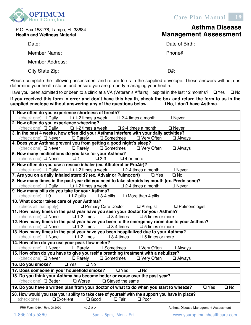

| P.O. Box 153178, Tampa, FL 33684<br><b>Health and Wellness Material</b>        | Asthma Disease<br><b>Management Assessment</b>                                                                 |
|--------------------------------------------------------------------------------|----------------------------------------------------------------------------------------------------------------|
| Date:                                                                          | Date of Birth:                                                                                                 |
| Member Name:                                                                   | Phone $#$ :                                                                                                    |
| Member Address:                                                                |                                                                                                                |
| City State Zip:                                                                | $ID#$ :                                                                                                        |
| determine your health status and ensure you are properly managing your health. | Please complete the following assessment and return to us in the supplied envelope. These answers will help us |

Have you been admitted to or been to a clinic at a VA (Veteran's Affairs) Hospital in the last 12 months?  $\Box$  Yes  $\Box$  No

**If you received this form in error and don't have this health, check the box and return the form to us in the supplied envelope without answering any of the questions below. No, I don't have Asthma.** If you received this form in error and don't have this health, check the box  ${\sf supp}$ iled envelope without answering any of the questions below.  $\Box$  No, I don't have Asthma.

| 1. How often do you experience shortness of breath?                                                                                                                 |                                       |  |  |  |  |
|---------------------------------------------------------------------------------------------------------------------------------------------------------------------|---------------------------------------|--|--|--|--|
| (check one) $\Box$ Daily $\Box$ 1-2 times a week<br>$\Box$ 2-4 times a month                                                                                        | $\Box$ Never                          |  |  |  |  |
| 2. How often do you experience wheezing?                                                                                                                            |                                       |  |  |  |  |
| (check one) $\Box$ Daily $\Box$ 1-2 times a week $\Box$ 2-4 times a month                                                                                           | $\Box$ Never                          |  |  |  |  |
| 3. In the past 4 weeks, how often did your Asthma interfere with your daily activities?                                                                             |                                       |  |  |  |  |
| $\Box$ Rarely<br>$\square$ Sometimes<br>(check one) $\Box$ Never<br>$\Box$ Very Often                                                                               | $\Box$ Always                         |  |  |  |  |
| 4. Does your Asthma prevent you from getting a good night's sleep?                                                                                                  |                                       |  |  |  |  |
| (check one) $\Box$ Never<br>$\Box$ Rarely $\Box$ Sometimes<br>$\Box$ Very Often                                                                                     | $\Box$ Always                         |  |  |  |  |
| 5. How many medications do you take for your Asthma?                                                                                                                |                                       |  |  |  |  |
| (check one) $\Box$ None<br>Q <sub>1</sub><br>$\square$ 2-3<br>$\Box$ 4 or more                                                                                      |                                       |  |  |  |  |
| 6. How often do you use a rescue inhaler (ex. Albuterol or ProAir)?                                                                                                 |                                       |  |  |  |  |
| (check one) $\Box$ Daily<br>$\square$ 1-2 times a week<br>$\square$ 2-4 times a month                                                                               | $\Box$ Never                          |  |  |  |  |
| 7. Are you on a daily inhaled steroid? (ex. Advair or Pulmocort)<br>$\Box$ Yes                                                                                      | $\square$ No                          |  |  |  |  |
| 8. How many times in the past year did you need to take steroids by mouth (ex. Prednisone)?                                                                         |                                       |  |  |  |  |
| (check one) $\Box$ Daily $\Box$ 1-2 times a week<br>$\square$ 2-4 times a month                                                                                     | $\Box$ Never                          |  |  |  |  |
| 9. How many pills do you take for your Asthma?                                                                                                                      |                                       |  |  |  |  |
| $\Box$ 1-2 pills<br>(check one) $\Box$ 0<br>$\square$ 3-4 pills<br>$\Box$ More than 4 pills                                                                         |                                       |  |  |  |  |
| 10. What doctor takes care of your Asthma?                                                                                                                          |                                       |  |  |  |  |
| (check all that apply) <b>Q Primary Care Doctor</b>                                                                                                                 | $\Box$ Allergist $\Box$ Pulmonologist |  |  |  |  |
| 11. How many times in the past year have you seen your doctor for your Asthma?                                                                                      |                                       |  |  |  |  |
| (check one) $\Box$ None<br>$\Box$ 1-2 times<br>$\square$ 3-4 times<br>$\square$ 5 times or more                                                                     |                                       |  |  |  |  |
| 12. How many times in the past year have you been to the emergency room due to your Asthma?                                                                         |                                       |  |  |  |  |
| (check one) $\Box$ None $\Box$ 1-2 times $\Box$ 3-4 times $\Box$ 5 times or more 13. How many times in the past year have you been hospitalized due to your Asthma? |                                       |  |  |  |  |
|                                                                                                                                                                     |                                       |  |  |  |  |
| (check one) $\Box$ None<br>$\Box$ 1-2 times<br>$\square$ 3-4 times<br>$\square$ 5 times or more                                                                     |                                       |  |  |  |  |
| 14. How often do you use your peak flow meter?                                                                                                                      |                                       |  |  |  |  |
| (check one) □ Never<br>$\Box$ Rarely<br>□ Sometimes<br>□ Very Often                                                                                                 | <b>Q</b> Always                       |  |  |  |  |
| 15. How often do you have to give yourself a breathing treatment with a nebulizer?                                                                                  |                                       |  |  |  |  |
| (check one) $\Box$ Never<br>$\Box$ Rarely<br>$\square$ Sometimes<br>$\Box$ Very Often                                                                               | $\Box$ Always                         |  |  |  |  |
| $\Box$ Yes<br>16. Do you smoke?<br>$\square$ No                                                                                                                     |                                       |  |  |  |  |
| 17. Does someone in your household smoke?<br><u>U Yes</u><br>$\square$ No                                                                                           |                                       |  |  |  |  |
| 18. Do you think your Asthma has become better or worse over the past year?                                                                                         |                                       |  |  |  |  |
| (check one) □ Better<br>$\square$ Worse<br>$\Box$ Stayed the same                                                                                                   |                                       |  |  |  |  |
| 19. Do you have a written plan from your doctor of what to do when you start to wheeze?                                                                             | $\square$ Yes<br>$\square$ No         |  |  |  |  |
| 20. How would you rate your ability to take care of yourself with the support you have in place?                                                                    |                                       |  |  |  |  |
| (check one)<br>$\Box$ Excellent<br>$\Box$ Good<br>$\Box$ Fair<br>$\Box$ Poor                                                                                        |                                       |  |  |  |  |
| $<$ ID $#$<br>FRH Form 1039 / Rev. 08.2020                                                                                                                          | Asthma Disease Management Assessment  |  |  |  |  |
| 1-866-245-5360<br>8am - 5pm, Mon - Fri                                                                                                                              | www.youroptimumhealthcare.com         |  |  |  |  |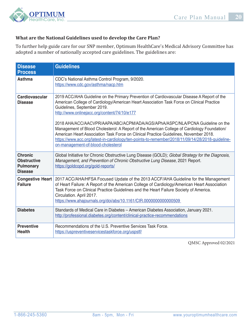

## **What are the National Guidelines used to develop the Care Plan?**

To further help guide care for our SNP member, Optimum HealthCare's Medical Advisory Committee has adopted a number of nationally accepted care guidelines. The guidelines are:

| <b>Disease</b><br><b>Process</b>                                           | <b>Guidelines</b>                                                                                                                                                                                                                                                                                                                                                                                                                                                                                                                                                                                                                                                                         |  |  |  |  |  |  |
|----------------------------------------------------------------------------|-------------------------------------------------------------------------------------------------------------------------------------------------------------------------------------------------------------------------------------------------------------------------------------------------------------------------------------------------------------------------------------------------------------------------------------------------------------------------------------------------------------------------------------------------------------------------------------------------------------------------------------------------------------------------------------------|--|--|--|--|--|--|
| Asthma                                                                     | CDC's National Asthma Control Program, 9/2020.<br>https://www.cdc.gov/asthma/nacp.htm                                                                                                                                                                                                                                                                                                                                                                                                                                                                                                                                                                                                     |  |  |  |  |  |  |
| <b>Cardiovascular</b><br><b>Disease</b>                                    | 2019 ACC/AHA Guideline on the Primary Prevention of Cardiovascular Disease A Report of the<br>American College of Cardiology/American Heart Association Task Force on Clinical Practice<br>Guidelines, September 2019.<br>http://www.onlinejacc.org/content/74/10/e177<br>2018 AHA/ACC/AACVPR/AAPA/ABC/ACPM/ADA/AGS/APhA/ASPC/NLA/PCNA Guideline on the<br>Management of Blood Cholesterol: A Report of the American College of Cardiology Foundation/<br>American Heart Association Task Force on Clinical Practice Guidelines, November 2018.<br>https://www.acc.org/latest-in-cardiology/ten-points-to-remember/2018/11/09/14/28/2018-quideline-<br>on-management-of-blood-cholesterol |  |  |  |  |  |  |
| <b>Chronic</b><br><b>Obstructive</b><br><b>Pulmonary</b><br><b>Disease</b> | Global Initiative for Chronic Obstructive Lung Disease (GOLD); Global Strategy for the Diagnosis,<br>Management, and Prevention of Chronic Obstructive Lung Disease, 2021 Report.<br>https://goldcopd.org/gold-reports/                                                                                                                                                                                                                                                                                                                                                                                                                                                                   |  |  |  |  |  |  |
| <b>Congestive Heart</b><br><b>Failure</b>                                  | 2017 ACC/AHA/HFSA Focused Update of the 2013 ACCF/AHA Guideline for the Management<br>of Heart Failure: A Report of the American College of Cardiology/American Heart Association<br>Task Force on Clinical Practice Guidelines and the Heart Failure Society of America.<br>Circulation. April 2017.<br>https://www.ahajournals.org/doi/abs/10.1161/CIR.0000000000000509                                                                                                                                                                                                                                                                                                                 |  |  |  |  |  |  |
| <b>Diabetes</b>                                                            | Standards of Medical Care in Diabetes - American Diabetes Association, January 2021.<br>http://professional.diabetes.org/content/clinical-practice-recommendations                                                                                                                                                                                                                                                                                                                                                                                                                                                                                                                        |  |  |  |  |  |  |
| <b>Preventive</b><br><b>Health</b>                                         | Recommendations of the U.S. Preventive Services Task Force.<br>https://uspreventiveservicestaskforce.org/uspstf/                                                                                                                                                                                                                                                                                                                                                                                                                                                                                                                                                                          |  |  |  |  |  |  |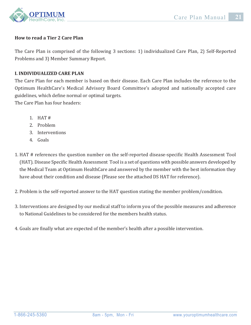

### **How to read a Tier 2 Care Plan**

The Care Plan is comprised of the following 3 sections: 1) individualized Care Plan, 2) Self-Reported Problems and 3) Member Summary Report.

#### **I. INDIVIDUALIZED CARE PLAN**

The Care Plan for each member is based on their disease. Each Care Plan includes the reference to the Optimum HealthCare's Medical Advisory Board Committee's adopted and nationally accepted care guidelines, which define normal or optimal targets.

The Care Plan has four headers:

- 1. HAT #
- 2. Problem
- 3. Interventions
- 4. Goals
- 1. HAT # references the question number on the self-reported disease-specific Health Assessment Tool (HAT). Disease Specific Health Assessment Tool is a set of questions with possible answers developed by the Medical Team at Optimum HealthCare and answered by the member with the best information they have about their condition and disease (Please see the attached DS HAT for reference).
- 2. Problem is the self-reported answer to the HAT question stating the member problem/condition.
- 3. Interventions are designed by our medical staff to inform you of the possible measures and adherence to National Guidelines to be considered for the members health status.
- 4. Goals are finally what are expected of the member's health after a possible intervention.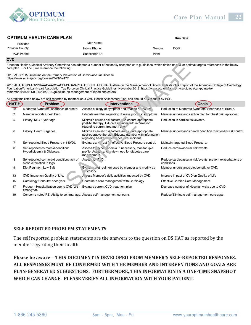

#### **OPTIMUM HEALTH CARE PLAN RUN DATE: RUN DATE: Run Date: Run Date:**

| Provider:        | Mbr Name:      |                 |  |
|------------------|----------------|-----------------|--|
| Provider County: | Home Phone:    | DOB:<br>Gender: |  |
| PCP Phone:       | Subscriber ID: | Plan:           |  |
|                  |                |                 |  |

#### **CVD**

|                                                                                                                                                                                                                                                                                                                                                                                                                                                                           | care plan. For CVD, we reference the following:                            | Freedom Health's Medical Advisory Committee has adopted a number of nationally accepted care quidelines, which define nor al or optimal targets referenced in the below |                                                                            |  |  |  |
|---------------------------------------------------------------------------------------------------------------------------------------------------------------------------------------------------------------------------------------------------------------------------------------------------------------------------------------------------------------------------------------------------------------------------------------------------------------------------|----------------------------------------------------------------------------|-------------------------------------------------------------------------------------------------------------------------------------------------------------------------|----------------------------------------------------------------------------|--|--|--|
| 2019 ACC/AHA Guideline on the Primary Prevention of Cardiovascular Disease<br>https://www.onlinejacc.org/content/74/10/e177                                                                                                                                                                                                                                                                                                                                               |                                                                            |                                                                                                                                                                         |                                                                            |  |  |  |
| 2018 AHA/ACC/AACVPR/AAPA/ABC/ACPM/ADA/APhA/ASPC/NLA/PCNA Guidline on the Management of Blood Ci Nesterol' A Report of the American College of Cardiology<br>Foundation/American Heart Association Tas Force on Clinical Practice Guidelines, November 2018. https://www.acc.org/acc.org/acc.org/acc.org/acc.org/acc.org/acc.org/acc.org/acc.org/acc.org/acc.org/acc.org/acc.org/acc.org/ac<br>remember/2018/11/09/14/28/2018-guideline-on-management-of-blood-cholesterol |                                                                            |                                                                                                                                                                         |                                                                            |  |  |  |
|                                                                                                                                                                                                                                                                                                                                                                                                                                                                           |                                                                            | All problems listed below are self-reported by member on a CVD Health Assessment Tool and should be wildated by PCP.                                                    |                                                                            |  |  |  |
| HAT#                                                                                                                                                                                                                                                                                                                                                                                                                                                                      | <b>Problem</b>                                                             | <b>Interventions</b>                                                                                                                                                    | Goals                                                                      |  |  |  |
| 1A                                                                                                                                                                                                                                                                                                                                                                                                                                                                        | Moderate Symptom: shortness of breath.                                     | Assess etiology of symptom and treat is ne lesse in                                                                                                                     | Reduction of Moderate Symptom: Shortness of Breath.                        |  |  |  |
| 2                                                                                                                                                                                                                                                                                                                                                                                                                                                                         | Member reports Chest Pain.                                                 | Educate member regarding disease processingly staying.                                                                                                                  | Member understands action plan for chest pain episodes.                    |  |  |  |
| 5                                                                                                                                                                                                                                                                                                                                                                                                                                                                         | History: $MI < 1$ year ago.                                                | Minimize cardiac risk factors of densure appliciate<br>post-MI therapy. Educate m mber vith information<br>regarding current treatment, and                             | Reduction in cardiac risk/events.                                          |  |  |  |
| 6                                                                                                                                                                                                                                                                                                                                                                                                                                                                         | History: Heart Surgeries.                                                  | Minimize cardiac risk factors and end are appropriate<br>post-operative therap. Educate n.amber with information<br>regarding health  inte. ince incident.              | Member understands health condition maintenance & control.                 |  |  |  |
| 7                                                                                                                                                                                                                                                                                                                                                                                                                                                                         | Self-reported Blood Pressure > 140/90.                                     | Evaluate and reat frighted, i.e Blood Pressure control.                                                                                                                 | Maintain targeted Blood Pressure.                                          |  |  |  |
| 8                                                                                                                                                                                                                                                                                                                                                                                                                                                                         | Self-reported co-morbid condition:<br>Hyperlipidemia & Diabetes.           | Assess for vipe. videmia. If necessary, monitor lipid<br>profile. As $\infty$ and eview need for diabetes care<br>maringement.                                          | Reduce cardiovascular risk/events.                                         |  |  |  |
| 8                                                                                                                                                                                                                                                                                                                                                                                                                                                                         | Self-reported co-morbid condition: lack of<br>blood circulation in legs.   | Assel to PID.                                                                                                                                                           | Reduce cardiovascular risk/events; prevent exacerbations of<br>conditions. |  |  |  |
| 9                                                                                                                                                                                                                                                                                                                                                                                                                                                                         | Diet Regimen: Low Salt.                                                    | Eva a lot regimen used by member and modify as<br>cessary.                                                                                                              | Member understands diet benefit for CVD.                                   |  |  |  |
| 13                                                                                                                                                                                                                                                                                                                                                                                                                                                                        | CVD Impact on Quality of Life.                                             | A sess Member's daily activities impacted by CVD                                                                                                                        | Improve impact of CVD on Quality of Life                                   |  |  |  |
| 15                                                                                                                                                                                                                                                                                                                                                                                                                                                                        | Cardiology Consults: once/year.                                            | Coordinate care management with Cardiology                                                                                                                              | Effective Cardiac Care Management                                          |  |  |  |
| 17                                                                                                                                                                                                                                                                                                                                                                                                                                                                        | Frequent Hospitalization due to CVD: 2-3<br>times/year.                    | Evaluate current CVD treatment plan                                                                                                                                     | Decrease number of Hospital visits due to CVD                              |  |  |  |
| 19                                                                                                                                                                                                                                                                                                                                                                                                                                                                        | Concerns noted RE: Ability to self-manage. Assess self-management concerns |                                                                                                                                                                         | Reduce/Eliminate self-management care gaps                                 |  |  |  |

#### **SELF REPORTED PROBLEM STATEMENTS**

The self reported problem statements are the answers to the question on DS HAT as reported by the member regarding their health.

**Please be aware—THIS DOCUMENT IS DEVELOPED FROM MEMBER'S SELF-REPORTED RESPONSES. ALL RESPONSES MUST BE CONFIRMED WITH THE MEMBER AND INTERVENTIONS AND GOALS ARE PLAN-GENERATED SUGGESTIONS. FURTHERMORE, THIS INFORMATION IS A ONE-TIME SNAPSHOT WHICH CAN CHANGE. PLEASE VERIFY ALL INFORMATION WITH YOUR PATIENT.**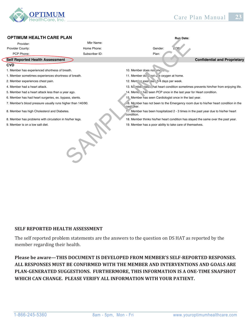

#### **Self Reported Health Assessment Confidential and Proprietary CVD** 1. Member has experienced shortness of breath. 10. Member does not smoke. 1. Member sometimes experiences shortness of breath. 11. Member do short use oxygen at home. 2. Member experiences chest pain. 12. Member experiences chest pain. 12. Member exercises 3-4 days per week. 4. Member had a heart attack. 13. Member states that heart condition sometimes prevents him/her from enjoying life. 5. Member had a heart attack less than a year ago. 14. Member has seen PCP once in the last year for Heart condition. 6. Member has had heart surgeries, ex. bypass, stents. 15. Member has seen Cardiologist once in the last year. 7. Member's blood pressure usually runs higher than 140/90. 16. Member has not been to the Emergency room due to his/her heart condition in the past year. 8. Member has high Cholesterol and Diabetes. 17. Member has been hospitalized 2 - 3 times in the past year due to his/her heart condition. 8. Member has problems with circulation in his/her legs. 18. Member thinks his/her heart condition has stayed the same over the past year. 9. Member is on a low salt diet. 19. Member has a poor ability to take care of themselves. **Run Date:**  PCP Phone: Mbr Name: Home Phone: Subscriber ID: Gender: Plan: **OPTIMUM HEALTH CARE PLAN** Provider: Provider County: Mbr Name:<br>
Subscriber ID:<br>
Subscriber ID:<br>
Subscriber ID:<br>
Subscriber ID:<br>
Subscriber ID:<br>
Subscriber ID:<br>
Than:<br>
10. Member does not write  $\frac{1}{2}$ . Member as a proposition in the last year<br>
14. Member as a particular th

#### **SELF REPORTED HEALTH ASSESSMENT**

The self reported problem statements are the answers to the question on DS HAT as reported by the member regarding their health.

**Please be aware—THIS DOCUMENT IS DEVELOPED FROM MEMBER'S SELF-REPORTED RESPONSES. ALL RESPONSES MUST BE CONFIRMED WITH THE MEMBER AND INTERVENTIONS AND GOALS ARE PLAN-GENERATED SUGGESTIONS. FURTHERMORE, THIS INFORMATION IS A ONE-TIME SNAPSHOT WHICH CAN CHANGE. PLEASE VERIFY ALL INFORMATION WITH YOUR PATIENT.**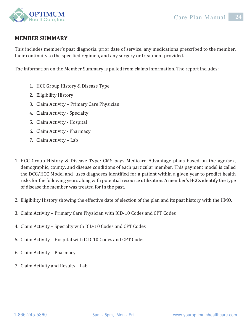

## **MEMBER SUMMARY**

This includes member's past diagnosis, prior date of service, any medications prescribed to the member, their continuity to the specified regimen, and any surgery or treatment provided.

The information on the Member Summary is pulled from claims information. The report includes:

- 1. HCC Group History & Disease Type
- 2. Eligibility History
- 3. Claim Activity Primary Care Physician
- 4. Claim Activity Specialty
- 5. Claim Activity Hospital
- 6. Claim Activity Pharmacy
- 7. Claim Activity Lab
- 1. HCC Group History & Disease Type: CMS pays Medicare Advantage plans based on the age/sex, demographic, county, and disease conditions of each particular member. This payment model is called the DCG/HCC Model and uses diagnoses identified for a patient within a given year to predict health risks for the following years along with potential resource utilization. A member's HCCs identify the type of disease the member was treated for in the past.
- 2. Eligibility History showing the effective date of election of the plan and its past history with the HMO.
- 3. Claim Activity Primary Care Physician with ICD-10 Codes and CPT Codes
- 4. Claim Activity Specialty with ICD-10 Codes and CPT Codes
- 5. Claim Activity Hospital with ICD-10 Codes and CPT Codes
- 6. Claim Activity Pharmacy
- 7. Claim Activity and Results Lab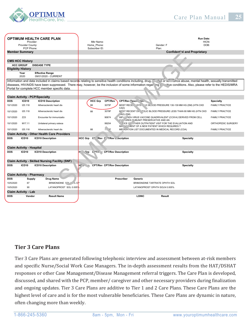

| <b>OPTIMUM HEALTH CARE PLAN</b><br>Provider:<br>Provider County:<br>PCP Phone: |                   | Mbr Name:<br>Home_Phone:<br>Subscriber ID:                                                                             |                  |                                                                                                                                       |         |                                          | <b>Run Date:</b><br>HICN:<br>DOB:<br>Gender: F<br>Plan: |                                                                                |                                                                  |                        |
|--------------------------------------------------------------------------------|-------------------|------------------------------------------------------------------------------------------------------------------------|------------------|---------------------------------------------------------------------------------------------------------------------------------------|---------|------------------------------------------|---------------------------------------------------------|--------------------------------------------------------------------------------|------------------------------------------------------------------|------------------------|
| <b>Member Summary</b>                                                          |                   |                                                                                                                        |                  |                                                                                                                                       |         |                                          |                                                         |                                                                                | <b>Confident'al and Proprietary</b>                              |                        |
|                                                                                |                   |                                                                                                                        |                  |                                                                                                                                       |         |                                          |                                                         |                                                                                |                                                                  |                        |
| <b>CMS HCC History</b>                                                         |                   |                                                                                                                        |                  |                                                                                                                                       |         |                                          |                                                         |                                                                                |                                                                  |                        |
|                                                                                | <b>HCC GROUP</b>  | <b>DISEASE TYPE</b>                                                                                                    |                  |                                                                                                                                       |         |                                          |                                                         |                                                                                |                                                                  |                        |
| <b>Eligiblity History</b>                                                      |                   |                                                                                                                        |                  |                                                                                                                                       |         |                                          |                                                         |                                                                                |                                                                  |                        |
|                                                                                | Year              | <b>Effective Range</b>                                                                                                 |                  |                                                                                                                                       |         |                                          |                                                         |                                                                                |                                                                  |                        |
|                                                                                | 2020              | 09/01/2020 - CURRENT                                                                                                   |                  |                                                                                                                                       |         |                                          |                                                         |                                                                                |                                                                  |                        |
|                                                                                |                   | Information and data included in claims based records relating to sensitive health conditions including, drug,         |                  |                                                                                                                                       |         |                                          |                                                         | hol or su                                                                      | ance abuse, mental health, sexually transmitted                  |                        |
|                                                                                |                   | diseases, HIV/AIDS have been suppressed. There may, however, be the inclusion of some information regar ing $\epsilon$ |                  |                                                                                                                                       |         |                                          |                                                         |                                                                                | itive conditions. Also, please refer to the HEDIS/MRA            |                        |
|                                                                                |                   | Portal for complete HCC member specific data.                                                                          |                  |                                                                                                                                       |         |                                          |                                                         |                                                                                |                                                                  |                        |
|                                                                                |                   |                                                                                                                        |                  |                                                                                                                                       |         |                                          |                                                         |                                                                                |                                                                  |                        |
|                                                                                |                   | <b>Claim Activity - PCP/Specialty</b>                                                                                  |                  |                                                                                                                                       |         |                                          |                                                         |                                                                                |                                                                  |                        |
| <b>DOS</b>                                                                     | ICD10             | <b>ICD10 Description</b>                                                                                               |                  | <b>HCC Grp</b>                                                                                                                        | CPT/Rev |                                          | CPT/Rev Pesch, Non.                                     |                                                                                |                                                                  | <b>Specialty</b>       |
| 10/1/2020                                                                      | 125.118           | Atherosclerotic heart dis                                                                                              |                  | 88                                                                                                                                    | 3075F   | CAD)                                     |                                                         | MOST RECE SYS TIC BLOOD PRESSURE 130-139 MM HG (DM) (HTN CKD                   |                                                                  | <b>FAMILY PRACTICE</b> |
| 10/1/2020                                                                      | 125.118           | Atherosclerotic heart dis                                                                                              |                  | 88                                                                                                                                    | 3078F   | .AD) (DM)                                |                                                         |                                                                                | M' 3T RECENT DI TOLIC BLOOD PRESSURE LESS THAN 80 MM HG (HTN CKD | <b>FAMILY PRACTICE</b> |
| 10/1/2020                                                                      | Z23               | Encounter for immunizatio                                                                                              |                  |                                                                                                                                       | 90674   |                                          | CUY . URES SUBUNIT PRESERVATIVE AND AN                  | INFLU <sup>T</sup> , VZA VIRUS VACCINE QUADRIVALENT (CCIIV4) DERIVED FROM CELL |                                                                  | <b>FAMILY PRACTICE</b> |
| 10/1/2020                                                                      | M17.11            | Unilateral primary osteoa                                                                                              |                  | FICE OF JTHER OUTPATIENT VISIT FOR THE EVALUATION AND<br>99204<br>ORTHOPEDIC SURGERY<br>MA NC' MENT OF A NEW PATIENT WHICH REQUIRES T |         |                                          |                                                         |                                                                                |                                                                  |                        |
| 10/1/2020<br>125.118<br>Atherosclerotic heart dis                              |                   |                                                                                                                        | 88               | 11.75                                                                                                                                 |         |                                          | MEDICATION LIST DOCUMENTED IN MEDICAL RECORD (COA)      |                                                                                | <b>FAMILY PRACTICE</b>                                           |                        |
|                                                                                |                   | <b>Claim Activity - Other Health Care Providers</b>                                                                    |                  |                                                                                                                                       |         |                                          |                                                         |                                                                                |                                                                  |                        |
| <b>DOS</b>                                                                     | ICD10             | <b>ICD10 Description</b>                                                                                               | <b>HCC Grp</b>   |                                                                                                                                       |         | C <sup>r</sup> /Rev C T/Rev L scription  |                                                         |                                                                                | <b>Specialty</b>                                                 |                        |
| <b>Claim Activity - Hospital</b>                                               |                   |                                                                                                                        |                  |                                                                                                                                       |         |                                          |                                                         |                                                                                |                                                                  |                        |
| <b>DOS</b><br>ICD <sub>10</sub><br><b>ICD10 Description</b>                    |                   |                                                                                                                        | н1<br><b>Grp</b> |                                                                                                                                       |         | L <sup>2</sup> T/h v CPT/Rev Description |                                                         |                                                                                | <b>Specialty</b>                                                 |                        |
|                                                                                |                   |                                                                                                                        |                  |                                                                                                                                       |         |                                          |                                                         |                                                                                |                                                                  |                        |
| <b>Claim Activity - Skilled Nursing Facility (SNF)</b>                         |                   |                                                                                                                        |                  |                                                                                                                                       |         |                                          |                                                         |                                                                                |                                                                  |                        |
| <b>DOS</b>                                                                     | ICD <sub>10</sub> | <b>ICD10 Description</b>                                                                                               | $H^{\prime}$     |                                                                                                                                       |         | <b>CPT/Rev CPT/Rev Description</b>       |                                                         |                                                                                | <b>Specialty</b>                                                 |                        |
| <b>Claim Activity - Pharmacy</b>                                               |                   |                                                                                                                        |                  |                                                                                                                                       |         |                                          |                                                         |                                                                                |                                                                  |                        |
| <b>DOS</b><br><b>Drug Name</b><br>Supply                                       |                   |                                                                                                                        |                  |                                                                                                                                       |         | Prescriber                               | Generic                                                 |                                                                                |                                                                  |                        |
| 10/5/2020                                                                      | 67                | BRIMONIDINE FOL 4 % OP                                                                                                 |                  |                                                                                                                                       |         |                                          | BRIMONIDINE TARTRATE OPHTH SOL                          |                                                                                |                                                                  |                        |
| 10/5/2020                                                                      | 90                | LATANOPROST SOL 0.005%                                                                                                 |                  |                                                                                                                                       |         |                                          | LATANOPROST OPHTH SOLN 0.005%                           |                                                                                |                                                                  |                        |
|                                                                                |                   |                                                                                                                        |                  |                                                                                                                                       |         |                                          |                                                         |                                                                                |                                                                  |                        |
| <b>Claim Activity - Lab</b>                                                    |                   |                                                                                                                        |                  |                                                                                                                                       |         |                                          |                                                         |                                                                                |                                                                  |                        |
| DOS                                                                            | Vendor            | <b>Result Name</b>                                                                                                     |                  |                                                                                                                                       |         |                                          | <b>LOINC</b>                                            | Result                                                                         |                                                                  |                        |

## **Tier 3 Care Plans**

Tier 3 Care Plans are generated following telephonic interview and assessment between at-risk members and specific Nurse/Social Work Case Managers. The in-depth assessment results from the HAT/DSHAT responses or other Case Management/Disease Management referral triggers. The Care Plan is developed, discussed, and shared with the PCP, member/ caregiver and other necessary providers during finalization and ongoing updates. Tier 3 Care Plans are additive to Tier 1 and 2 Care Plans. These Care Plans are the highest level of care and is for the most vulnerable beneficiaries. These Care Plans are dynamic in nature, often changing more than weekly.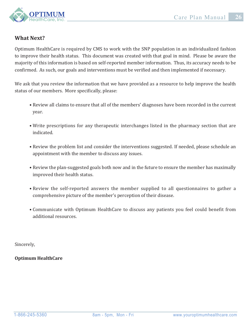

## **What Next?**

Optimum HealthCare is required by CMS to work with the SNP population in an individualized fashion to improve their health status. This document was created with that goal in mind. Please be aware the majority of this information is based on self-reported member information. Thus, its accuracy needs to be confirmed. As such, our goals and interventions must be verified and then implemented if necessary.

We ask that you review the information that we have provided as a resource to help improve the health status of our members. More specifically, please:

- Review all claims to ensure that all of the members' diagnoses have been recorded in the current year.
- Write prescriptions for any therapeutic interchanges listed in the pharmacy section that are indicated.
- Review the problem list and consider the interventions suggested. If needed, please schedule an appointment with the member to discuss any issues.
- Review the plan-suggested goals both now and in the future to ensure the member has maximally improved their health status.
- Review the self-reported answers the member supplied to all questionnaires to gather a comprehensive picture of the member's perception of their disease.
- Communicate with Optimum HealthCare to discuss any patients you feel could benefit from additional resources.

Sincerely,

**Optimum HealthCare**